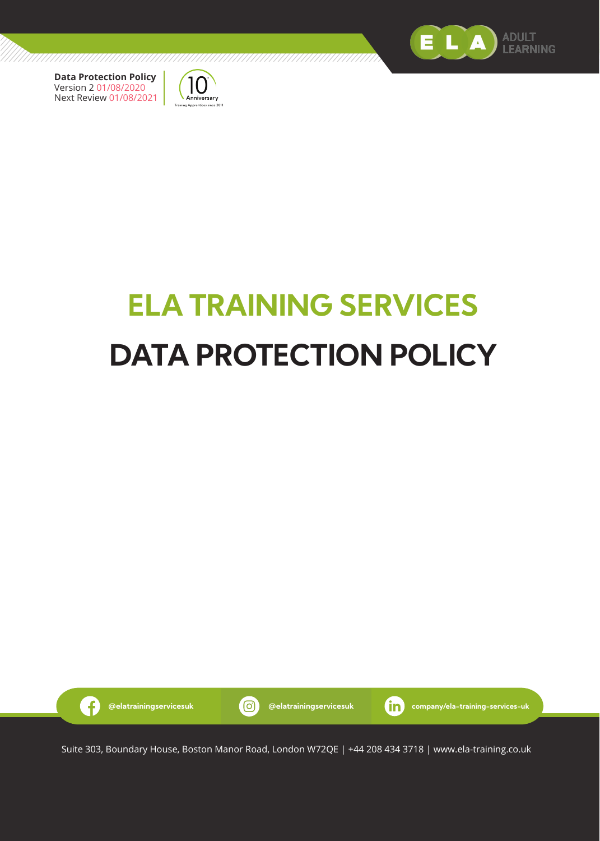



# **ELA TRAINING SERVICES DATA PROTECTION POLICY**

///////////



Suite 303, Boundary House, Boston Manor Road, London W72QE | +44 208 434 3718 | www.ela-training.co.uk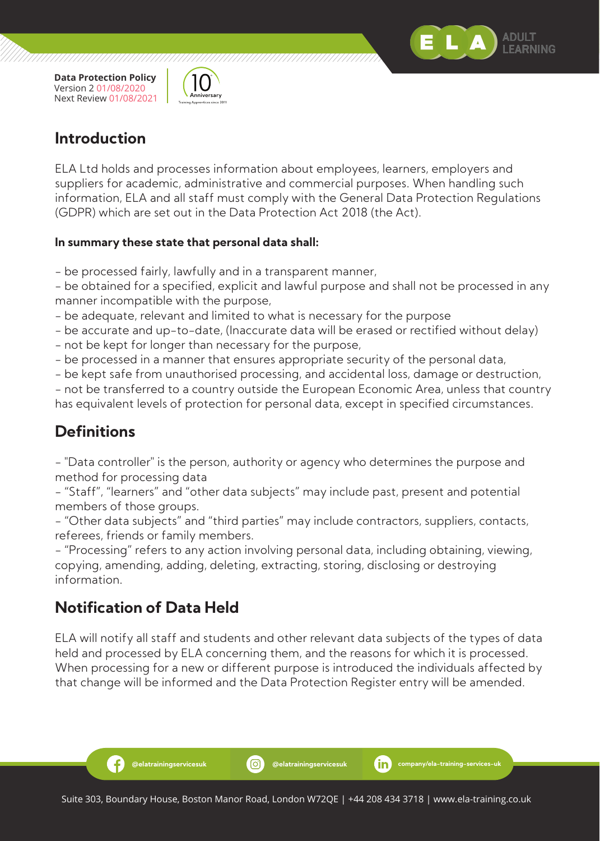



#### **Introduction**

ELA Ltd holds and processes information about employees, learners, employers and suppliers for academic, administrative and commercial purposes. When handling such information, ELA and all staff must comply with the General Data Protection Regulations (GDPR) which are set out in the Data Protection Act 2018 (the Act).

#### **In summary these state that personal data shall:**

- be processed fairly, lawfully and in a transparent manner,

- be obtained for a specified, explicit and lawful purpose and shall not be processed in any manner incompatible with the purpose,

- be adequate, relevant and limited to what is necessary for the purpose
- be accurate and up-to-date, (Inaccurate data will be erased or rectified without delay)
- not be kept for longer than necessary for the purpose,
- be processed in a manner that ensures appropriate security of the personal data,
- be kept safe from unauthorised processing, and accidental loss, damage or destruction,

- not be transferred to a country outside the European Economic Area, unless that country has equivalent levels of protection for personal data, except in specified circumstances.

## **Definitions**

- "Data controller" is the person, authority or agency who determines the purpose and method for processing data

- "Staff", "learners" and "other data subjects" may include past, present and potential members of those groups.

- "Other data subjects" and "third parties" may include contractors, suppliers, contacts, referees, friends or family members.

- "Processing" refers to any action involving personal data, including obtaining, viewing, copying, amending, adding, deleting, extracting, storing, disclosing or destroying information.

## **Notification of Data Held**

Ð

ELA will notify all staff and students and other relevant data subjects of the types of data held and processed by ELA concerning them, and the reasons for which it is processed. When processing for a new or different purpose is introduced the individuals affected by that change will be informed and the Data Protection Register entry will be amended.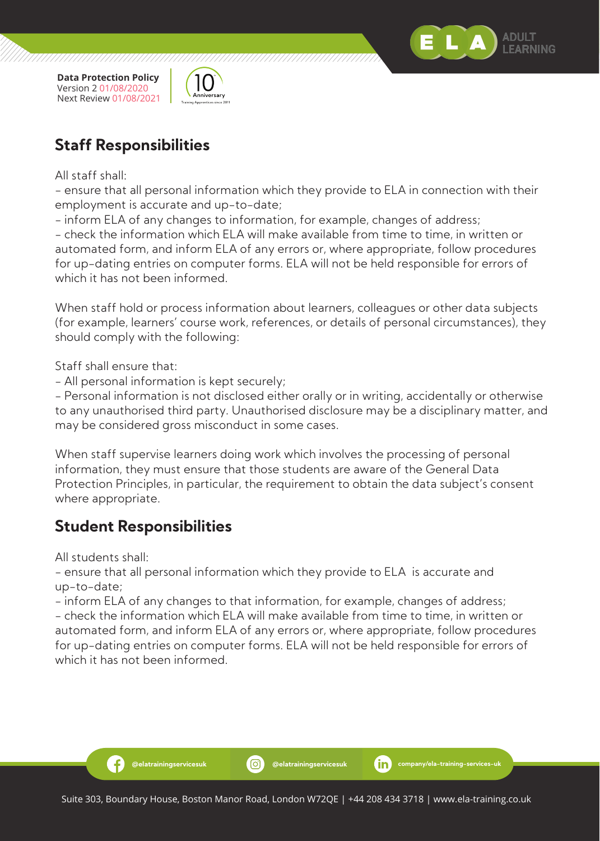



#### **Staff Responsibilities**

All staff shall:

- ensure that all personal information which they provide to ELA in connection with their employment is accurate and up-to-date;

- inform ELA of any changes to information, for example, changes of address;

- check the information which ELA will make available from time to time, in written or automated form, and inform ELA of any errors or, where appropriate, follow procedures for up-dating entries on computer forms. ELA will not be held responsible for errors of which it has not been informed.

When staff hold or process information about learners, colleagues or other data subjects (for example, learners' course work, references, or details of personal circumstances), they should comply with the following:

Staff shall ensure that:

- All personal information is kept securely;

- Personal information is not disclosed either orally or in writing, accidentally or otherwise to any unauthorised third party. Unauthorised disclosure may be a disciplinary matter, and may be considered gross misconduct in some cases.

When staff supervise learners doing work which involves the processing of personal information, they must ensure that those students are aware of the General Data Protection Principles, in particular, the requirement to obtain the data subject's consent where appropriate.

## **Student Responsibilities**

All students shall:

Ð

- ensure that all personal information which they provide to ELA is accurate and up-to-date;

- inform ELA of any changes to that information, for example, changes of address;

- check the information which ELA will make available from time to time, in written or automated form, and inform ELA of any errors or, where appropriate, follow procedures for up-dating entries on computer forms. ELA will not be held responsible for errors of which it has not been informed.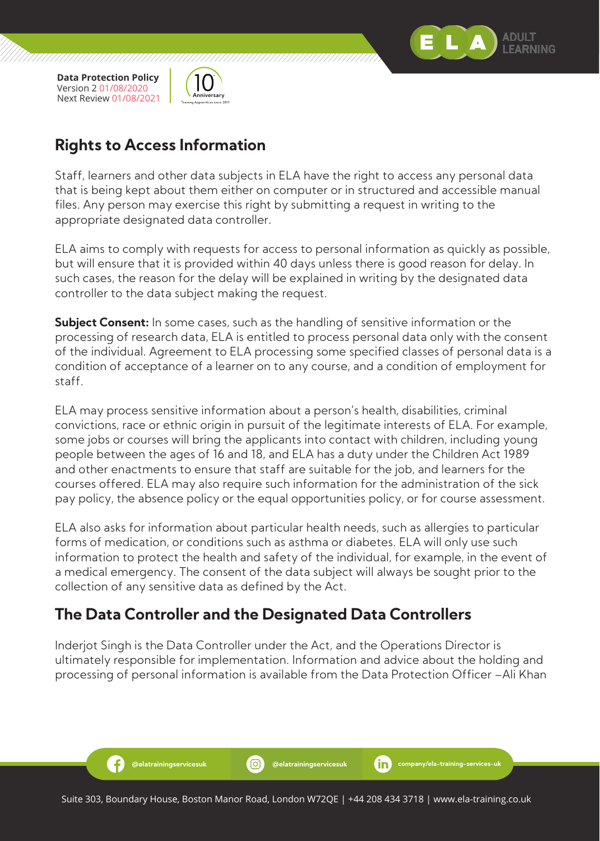

Ð



#### **Rights to Access Information**

Staff, learners and other data subjects in ELA have the right to access any personal data that is being kept about them either on computer or in structured and accessible manual files. Any person may exercise this right by submitting a request in writing to the appropriate designated data controller.

ELA aims to comply with requests for access to personal information as quickly as possible, but will ensure that it is provided within 40 days unless there is good reason for delay. In such cases, the reason for the delay will be explained in writing by the designated data controller to the data subject making the request.

**Subject Consent:** In some cases, such as the handling of sensitive information or the processing of research data, ELA is entitled to process personal data only with the consent of the individual. Agreement to ELA processing some specified classes of personal data is a condition of acceptance of a learner on to any course, and a condition of employment for staff.

ELA may process sensitive information about a person's health, disabilities, criminal convictions, race or ethnic origin in pursuit of the legitimate interests of ELA. For example, some jobs or courses will bring the applicants into contact with children, including young people between the ages of 16 and 18, and ELA has a duty under the Children Act 1989 and other enactments to ensure that staff are suitable for the job, and learners for the courses offered. ELA may also require such information for the administration of the sick pay policy, the absence policy or the equal opportunities policy, or for course assessment.

ELA also asks for information about particular health needs, such as allergies to particular forms of medication, or conditions such as asthma or diabetes. ELA will only use such information to protect the health and safety of the individual, for example, in the event of a medical emergency. The consent of the data subject will always be sought prior to the collection of any sensitive data as defined by the Act.

## **The Data Controller and the Designated Data Controllers**

Inderjot Singh is the Data Controller under the Act, and the Operations Director is ultimately responsible for implementation. Information and advice about the holding and processing of personal information is available from the Data Protection Officer –Ali Khan